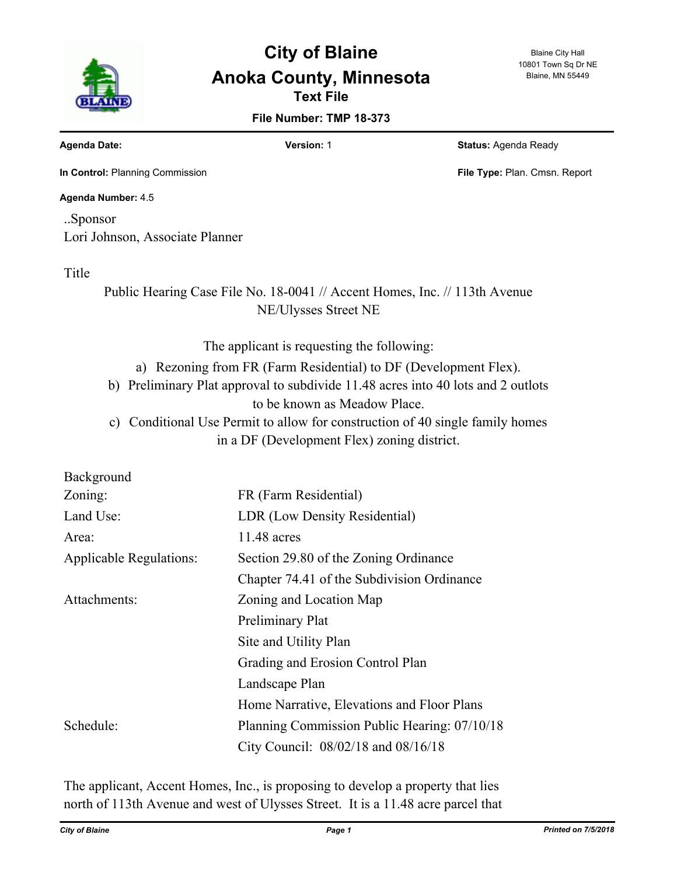

# **Text File City of Blaine Anoka County, Minnesota**

#### Blaine City Hall 10801 Town Sq Dr NE Blaine, MN 55449

**File Number: TMP 18-373**

**Agenda Date: Version:** 1 **Status:** Agenda Ready

**In Control:** Planning Commission **File Type:** Plan. Cmsn. Report

**Agenda Number:** 4.5

..Sponsor Lori Johnson, Associate Planner

Title

Public Hearing Case File No. 18-0041 // Accent Homes, Inc. // 113th Avenue NE/Ulysses Street NE

The applicant is requesting the following:

a) Rezoning from FR (Farm Residential) to DF (Development Flex).

b) Preliminary Plat approval to subdivide 11.48 acres into 40 lots and 2 outlots to be known as Meadow Place.

c) Conditional Use Permit to allow for construction of 40 single family homes in a DF (Development Flex) zoning district.

| Background                     |                                              |
|--------------------------------|----------------------------------------------|
| Zoning:                        | FR (Farm Residential)                        |
| Land Use:                      | LDR (Low Density Residential)                |
| Area:                          | 11.48 acres                                  |
| <b>Applicable Regulations:</b> | Section 29.80 of the Zoning Ordinance        |
|                                | Chapter 74.41 of the Subdivision Ordinance   |
| Attachments:                   | Zoning and Location Map                      |
|                                | Preliminary Plat                             |
|                                | Site and Utility Plan                        |
|                                | Grading and Erosion Control Plan             |
|                                | Landscape Plan                               |
|                                | Home Narrative, Elevations and Floor Plans   |
| Schedule:                      | Planning Commission Public Hearing: 07/10/18 |
|                                | City Council: 08/02/18 and 08/16/18          |

The applicant, Accent Homes, Inc., is proposing to develop a property that lies north of 113th Avenue and west of Ulysses Street. It is a 11.48 acre parcel that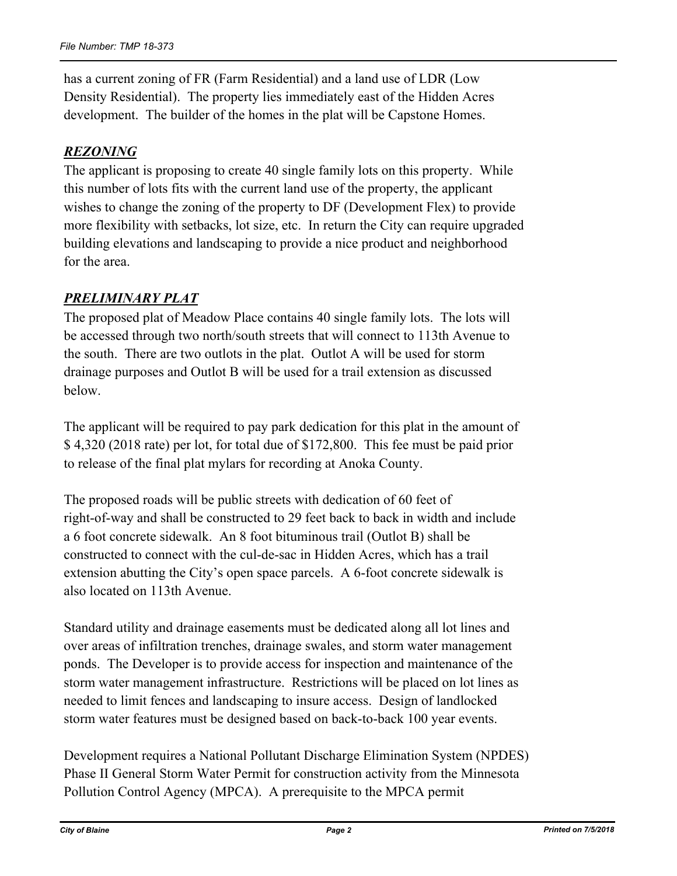has a current zoning of FR (Farm Residential) and a land use of LDR (Low Density Residential). The property lies immediately east of the Hidden Acres development. The builder of the homes in the plat will be Capstone Homes.

# *REZONING*

The applicant is proposing to create 40 single family lots on this property. While this number of lots fits with the current land use of the property, the applicant wishes to change the zoning of the property to DF (Development Flex) to provide more flexibility with setbacks, lot size, etc. In return the City can require upgraded building elevations and landscaping to provide a nice product and neighborhood for the area.

# *PRELIMINARY PLAT*

The proposed plat of Meadow Place contains 40 single family lots. The lots will be accessed through two north/south streets that will connect to 113th Avenue to the south. There are two outlots in the plat. Outlot A will be used for storm drainage purposes and Outlot B will be used for a trail extension as discussed below.

The applicant will be required to pay park dedication for this plat in the amount of \$ 4,320 (2018 rate) per lot, for total due of \$172,800. This fee must be paid prior to release of the final plat mylars for recording at Anoka County.

The proposed roads will be public streets with dedication of 60 feet of right-of-way and shall be constructed to 29 feet back to back in width and include a 6 foot concrete sidewalk. An 8 foot bituminous trail (Outlot B) shall be constructed to connect with the cul-de-sac in Hidden Acres, which has a trail extension abutting the City's open space parcels. A 6-foot concrete sidewalk is also located on 113th Avenue.

Standard utility and drainage easements must be dedicated along all lot lines and over areas of infiltration trenches, drainage swales, and storm water management ponds. The Developer is to provide access for inspection and maintenance of the storm water management infrastructure. Restrictions will be placed on lot lines as needed to limit fences and landscaping to insure access. Design of landlocked storm water features must be designed based on back-to-back 100 year events.

Development requires a National Pollutant Discharge Elimination System (NPDES) Phase II General Storm Water Permit for construction activity from the Minnesota Pollution Control Agency (MPCA). A prerequisite to the MPCA permit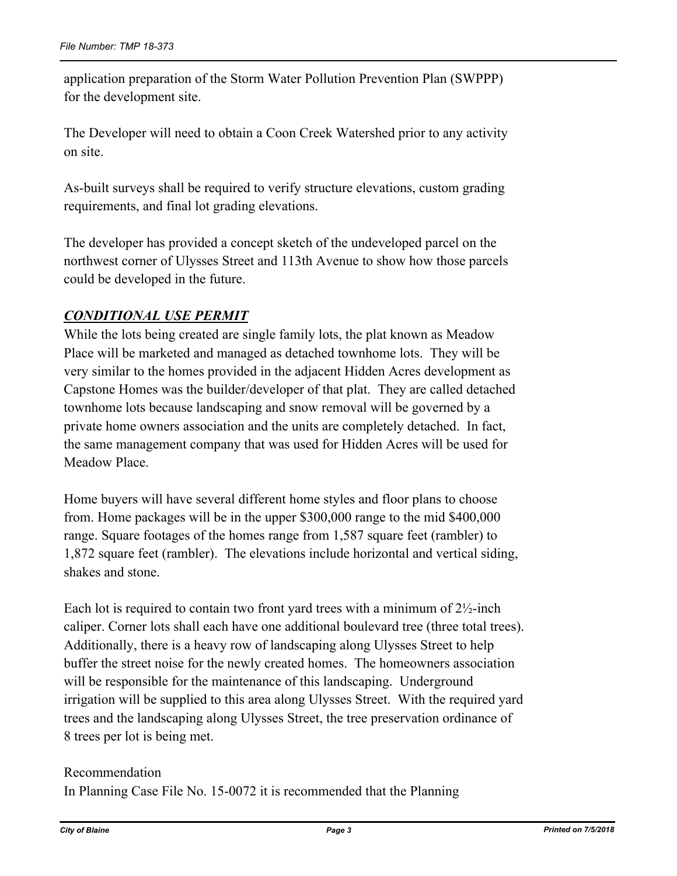application preparation of the Storm Water Pollution Prevention Plan (SWPPP) for the development site.

The Developer will need to obtain a Coon Creek Watershed prior to any activity on site.

As-built surveys shall be required to verify structure elevations, custom grading requirements, and final lot grading elevations.

The developer has provided a concept sketch of the undeveloped parcel on the northwest corner of Ulysses Street and 113th Avenue to show how those parcels could be developed in the future.

# *CONDITIONAL USE PERMIT*

While the lots being created are single family lots, the plat known as Meadow Place will be marketed and managed as detached townhome lots. They will be very similar to the homes provided in the adjacent Hidden Acres development as Capstone Homes was the builder/developer of that plat. They are called detached townhome lots because landscaping and snow removal will be governed by a private home owners association and the units are completely detached. In fact, the same management company that was used for Hidden Acres will be used for Meadow Place.

Home buyers will have several different home styles and floor plans to choose from. Home packages will be in the upper \$300,000 range to the mid \$400,000 range. Square footages of the homes range from 1,587 square feet (rambler) to 1,872 square feet (rambler). The elevations include horizontal and vertical siding, shakes and stone.

Each lot is required to contain two front yard trees with a minimum of  $2\frac{1}{2}$ -inch caliper. Corner lots shall each have one additional boulevard tree (three total trees). Additionally, there is a heavy row of landscaping along Ulysses Street to help buffer the street noise for the newly created homes. The homeowners association will be responsible for the maintenance of this landscaping. Underground irrigation will be supplied to this area along Ulysses Street. With the required yard trees and the landscaping along Ulysses Street, the tree preservation ordinance of 8 trees per lot is being met.

# Recommendation In Planning Case File No. 15-0072 it is recommended that the Planning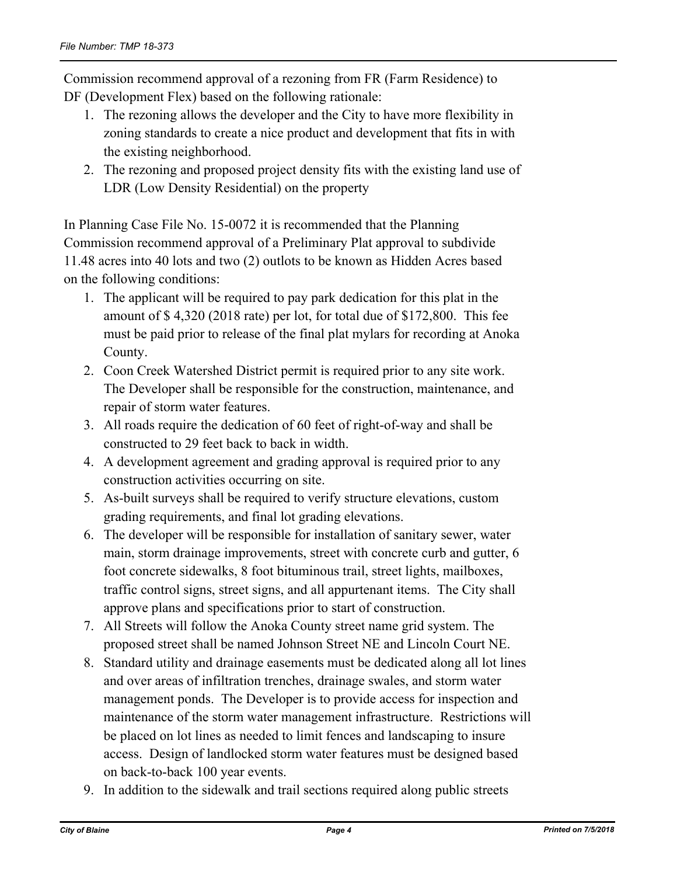Commission recommend approval of a rezoning from FR (Farm Residence) to DF (Development Flex) based on the following rationale:

- 1. The rezoning allows the developer and the City to have more flexibility in zoning standards to create a nice product and development that fits in with the existing neighborhood.
- 2. The rezoning and proposed project density fits with the existing land use of LDR (Low Density Residential) on the property

In Planning Case File No. 15-0072 it is recommended that the Planning Commission recommend approval of a Preliminary Plat approval to subdivide 11.48 acres into 40 lots and two (2) outlots to be known as Hidden Acres based on the following conditions:

- 1. The applicant will be required to pay park dedication for this plat in the amount of \$ 4,320 (2018 rate) per lot, for total due of \$172,800. This fee must be paid prior to release of the final plat mylars for recording at Anoka County.
- 2. Coon Creek Watershed District permit is required prior to any site work. The Developer shall be responsible for the construction, maintenance, and repair of storm water features.
- 3. All roads require the dedication of 60 feet of right-of-way and shall be constructed to 29 feet back to back in width.
- 4. A development agreement and grading approval is required prior to any construction activities occurring on site.
- 5. As-built surveys shall be required to verify structure elevations, custom grading requirements, and final lot grading elevations.
- 6. The developer will be responsible for installation of sanitary sewer, water main, storm drainage improvements, street with concrete curb and gutter, 6 foot concrete sidewalks, 8 foot bituminous trail, street lights, mailboxes, traffic control signs, street signs, and all appurtenant items. The City shall approve plans and specifications prior to start of construction.
- 7. All Streets will follow the Anoka County street name grid system. The proposed street shall be named Johnson Street NE and Lincoln Court NE.
- 8. Standard utility and drainage easements must be dedicated along all lot lines and over areas of infiltration trenches, drainage swales, and storm water management ponds. The Developer is to provide access for inspection and maintenance of the storm water management infrastructure. Restrictions will be placed on lot lines as needed to limit fences and landscaping to insure access. Design of landlocked storm water features must be designed based on back-to-back 100 year events.
- 9. In addition to the sidewalk and trail sections required along public streets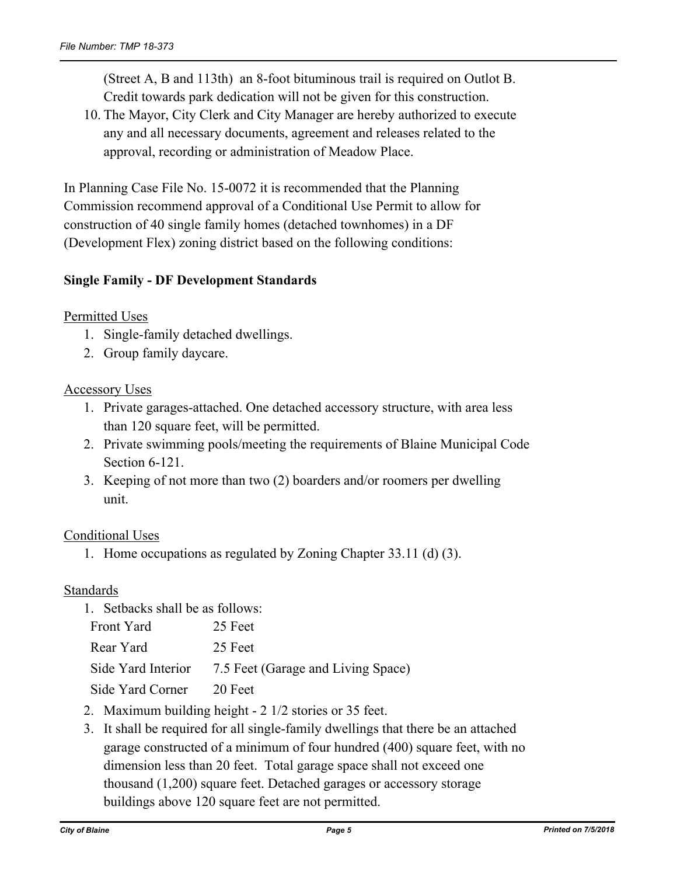(Street A, B and 113th) an 8-foot bituminous trail is required on Outlot B. Credit towards park dedication will not be given for this construction.

10. The Mayor, City Clerk and City Manager are hereby authorized to execute any and all necessary documents, agreement and releases related to the approval, recording or administration of Meadow Place.

In Planning Case File No. 15-0072 it is recommended that the Planning Commission recommend approval of a Conditional Use Permit to allow for construction of 40 single family homes (detached townhomes) in a DF (Development Flex) zoning district based on the following conditions:

### **Single Family - DF Development Standards**

#### Permitted Uses

- 1. Single-family detached dwellings.
- 2. Group family daycare.

#### Accessory Uses

- 1. Private garages-attached. One detached accessory structure, with area less than 120 square feet, will be permitted.
- 2. Private swimming pools/meeting the requirements of Blaine Municipal Code Section 6-121.
- 3. Keeping of not more than two (2) boarders and/or roomers per dwelling unit.

# Conditional Uses

1. Home occupations as regulated by Zoning Chapter 33.11 (d) (3).

#### Standards

| 1. Setbacks shall be as follows:   |  |
|------------------------------------|--|
| 25 Feet                            |  |
| 25 Feet                            |  |
| 7.5 Feet (Garage and Living Space) |  |
| - 20 Feet                          |  |
|                                    |  |

- 2. Maximum building height 2 1/2 stories or 35 feet.
- 3. It shall be required for all single-family dwellings that there be an attached garage constructed of a minimum of four hundred (400) square feet, with no dimension less than 20 feet. Total garage space shall not exceed one thousand (1,200) square feet. Detached garages or accessory storage buildings above 120 square feet are not permitted.